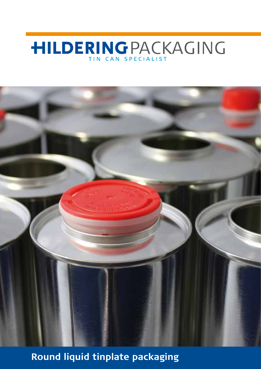# **HILDERINGPACKAGING**



**Round liquid tinplate packaging**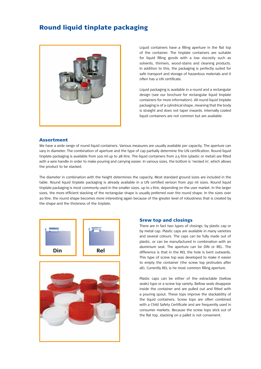## Round liquid tinplate packaging



Liquid containers have a filling aperture in the flat top of the container. The tinplate containers are suitable for liquid filling goods with a low viscosity such as solvents, thinners, wood-stains and cleaning products. In addition to this, the packaging is perfectly suited for safe transport and storage of hazardous materials and it often has a UN certificate.

Liquid packaging is available in a round and a rectangular design (see our brochure for rectangular liquid tinplate containers for more information). All round liquid tinplate packaging is of a cylindrical shape, meaning that the body is straight and does not taper inwards. Internally coated liquid containers are not common but are available.

#### Assortment

We have a wide range of round liquid containers. Various measures are usually available per capacity. The aperture can vary in diameter. The combination of aperture and the type of cap partially determine the UN certification. Round liquid tinplate packaging is available from 100 ml up to 28 litre. The liquid containers from 2.5 litre (plastic or metal) are fitted with a wire handle in order to make pouring and carrying easier. In various sizes, the bottom is 'necked in', which allows the product to be stacked.

The diameter in combination with the height determines the capacity. Most standard ground sizes are included in the table. Round liquid tinplate packaging is already available in a UN certified version from 250 ml sizes. Round liquid tinplate packaging is most commonly used in the smaller sizes, up to 1 litre, depending on the user market. In the larger sizes, the more efficient stacking of the rectangular shape is usually preferred over the round shape. In the sizes over 20 litre, the round shape becomes more interesting again because of the greater level of robustness that is created by the shape and the thickness of the tinplate.





#### Srew top and closings

There are in fact two types of closings: by plastic cap or by metal cap. Plastic caps are available in many varieties and several colours. The caps can be fully made out of plastic, or can be manufactured in combination with an aluminium seal. The aperture can be DIN or REL. The difference is that in the REL the hole is bent outwards. This type of screw top was developed to make it easier to empty the container (the screw top protrudes after all). Currently REL is he most common filling aperture.

Plastic caps can be either of the extractable (bellow seals) type or a screw top variety. Bellow seals disappear inside the container and are pulled out and fitted with a pouring spout. These tops improve the stackability of the liquid containers. Screw tops are often combined with a Child Safety Certificate and are frequently used in consumer markets. Because the screw tops stick out of the flat top, stacking on a pallet is not convenient.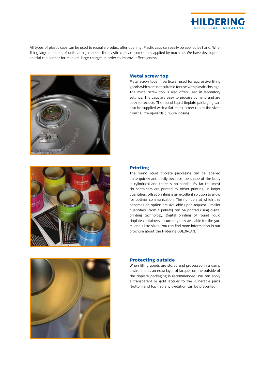

All types of plastic caps can be used to reseal a product after opening. Plastic caps can easily be applied by hand. When filling large numbers of units at high speed, the plastic caps are sometimes applied by machine. We have developed a special cap pusher for medium-large charges in order to improve effectiveness.



#### Metal screw top

Metal screw tops in particular used for aggressive filling goods which are not suitable for use with plastic closings. The metal screw top is also often used in laboratory settings. The caps are easy to process by hand and are easy to reclose. The round liquid tinplate packaging can also be supplied with a flat metal screw cap in the sizes from 15 litre upwards (TriSure closing).



### Printing

The round liquid tinplate packaging can be labelled quite quickly and easily because the shape of the body is cylindrical and there is no handle. By far the most tin containers are printed by offset printing. In larger quantities, offset printing is an excellent solution to allow for optimal communication. The numbers at which this becomes an option are available upon request. Smaller quantities (from 2 pallets) can be printed using digital printing technology. Digital printing of round liquid tinplate containers is currently only available for the 500 ml and 1 litre sizes. You can find more information in our brochure about the Hildering COLORCAN.



#### Protecting outside

When filling goods are stored and processed in a damp environment, an extra layer of lacquer on the outside of the tinplate packaging is recommended. We can apply a transparent or gold lacquer to the vulnerable parts (bottom and top), so any oxidation can be prevented.